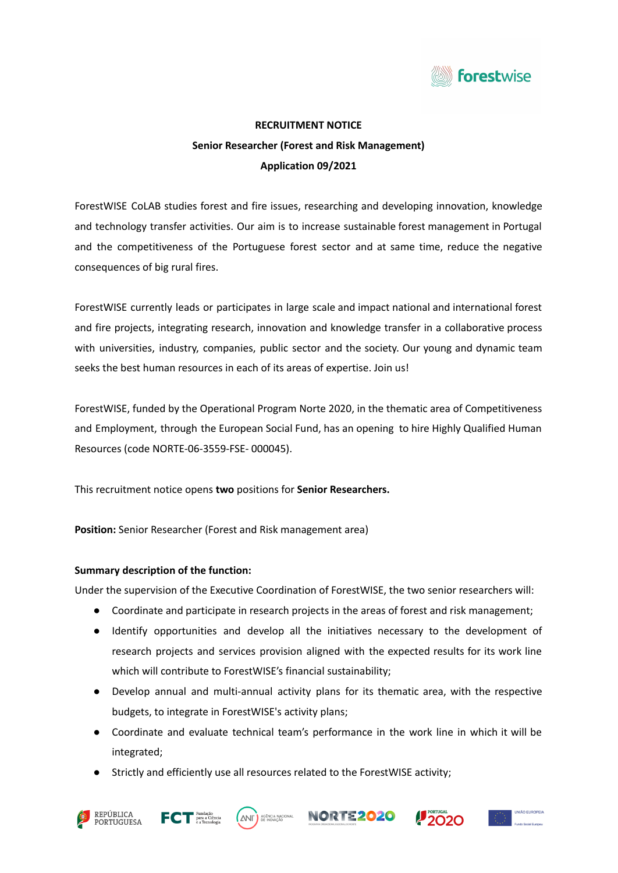

# **RECRUITMENT NOTICE Senior Researcher (Forest and Risk Management) Application 09/2021**

ForestWISE CoLAB studies forest and fire issues, researching and developing innovation, knowledge and technology transfer activities. Our aim is to increase sustainable forest management in Portugal and the competitiveness of the Portuguese forest sector and at same time, reduce the negative consequences of big rural fires.

ForestWISE currently leads or participates in large scale and impact national and international forest and fire projects, integrating research, innovation and knowledge transfer in a collaborative process with universities, industry, companies, public sector and the society. Our young and dynamic team seeks the best human resources in each of its areas of expertise. Join us!

ForestWISE, funded by the Operational Program Norte 2020, in the thematic area of Competitiveness and Employment, through the European Social Fund, has an opening to hire Highly Qualified Human Resources (code NORTE-06-3559-FSE- 000045).

This recruitment notice opens **two** positions for **Senior Researchers.**

**Position:** Senior Researcher (Forest and Risk management area)

## **Summary description of the function:**

Under the supervision of the Executive Coordination of ForestWISE, the two senior researchers will:

- Coordinate and participate in research projects in the areas of forest and risk management;
- Identify opportunities and develop all the initiatives necessary to the development of research projects and services provision aligned with the expected results for its work line which will contribute to ForestWISE's financial sustainability;
- Develop annual and multi-annual activity plans for its thematic area, with the respective budgets, to integrate in ForestWISE's activity plans;
- Coordinate and evaluate technical team's performance in the work line in which it will be integrated;
- Strictly and efficiently use all resources related to the ForestWISE activity;











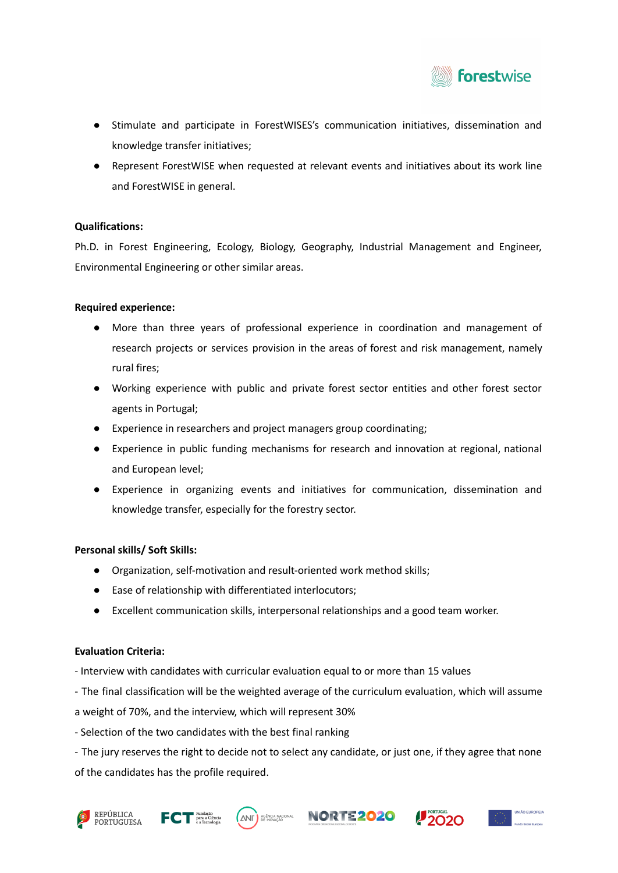

- Stimulate and participate in ForestWISES's communication initiatives, dissemination and knowledge transfer initiatives;
- Represent ForestWISE when requested at relevant events and initiatives about its work line and ForestWISE in general.

## **Qualifications:**

Ph.D. in Forest Engineering, Ecology, Biology, Geography, Industrial Management and Engineer, Environmental Engineering or other similar areas.

## **Required experience:**

- More than three years of professional experience in coordination and management of research projects or services provision in the areas of forest and risk management, namely rural fires;
- Working experience with public and private forest sector entities and other forest sector agents in Portugal;
- Experience in researchers and project managers group coordinating;
- Experience in public funding mechanisms for research and innovation at regional, national and European level;
- Experience in organizing events and initiatives for communication, dissemination and knowledge transfer, especially for the forestry sector.

## **Personal skills/ Soft Skills:**

- Organization, self-motivation and result-oriented work method skills;
- Ease of relationship with differentiated interlocutors;
- Excellent communication skills, interpersonal relationships and a good team worker.

## **Evaluation Criteria:**

- Interview with candidates with curricular evaluation equal to or more than 15 values
- The final classification will be the weighted average of the curriculum evaluation, which will assume

a weight of 70%, and the interview, which will represent 30%

- Selection of the two candidates with the best final ranking

- The jury reserves the right to decide not to select any candidate, or just one, if they agree that none of the candidates has the profile required.